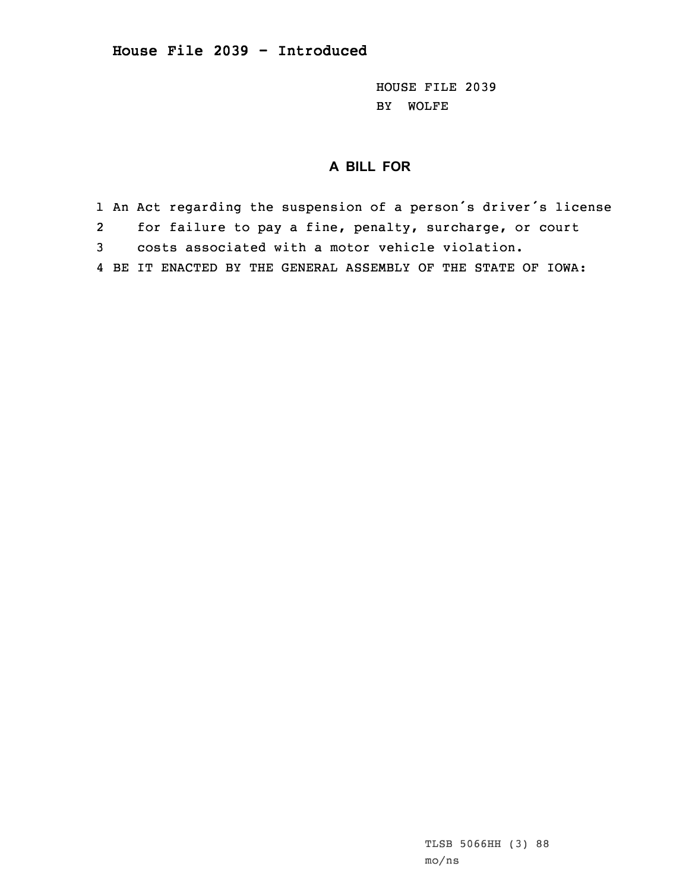HOUSE FILE 2039 BY WOLFE

## **A BILL FOR**

1 An Act regarding the suspension of <sup>a</sup> person's driver's license

2for failure to pay <sup>a</sup> fine, penalty, surcharge, or court

3 costs associated with <sup>a</sup> motor vehicle violation.

4 BE IT ENACTED BY THE GENERAL ASSEMBLY OF THE STATE OF IOWA: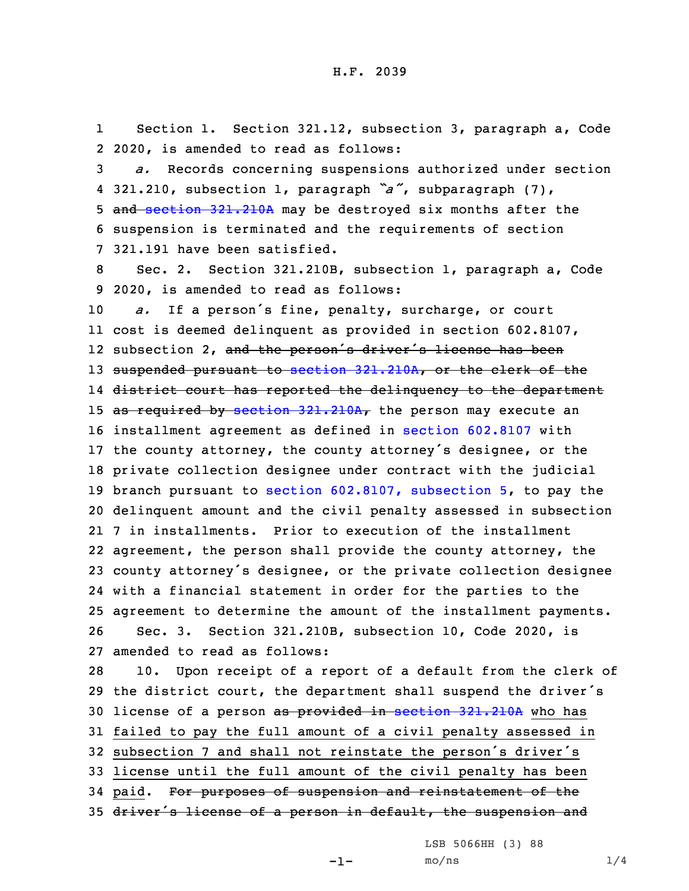1 Section 1. Section 321.12, subsection 3, paragraph a, Code 2 2020, is amended to read as follows:

 *a.* Records concerning suspensions authorized under section 321.210, subsection 1, paragraph *"a"*, subparagraph (7), 5 and section [321.210A](https://www.legis.iowa.gov/docs/code/2020/321.210A.pdf) may be destroyed six months after the suspension is terminated and the requirements of section 321.191 have been satisfied.

8 Sec. 2. Section 321.210B, subsection 1, paragraph a, Code 9 2020, is amended to read as follows:

 *a.* If <sup>a</sup> person's fine, penalty, surcharge, or court cost is deemed delinquent as provided in section 602.8107, 12 subsection 2, <del>and the person's driver's license has been</del> 13 suspended pursuant to section [321.210A](https://www.legis.iowa.gov/docs/code/2020/321.210A.pdf), or the clerk of the district court has reported the delinquency to the department 15 as required by section  $321.210A_r$  $321.210A_r$  the person may execute an installment agreement as defined in section [602.8107](https://www.legis.iowa.gov/docs/code/2020/602.8107.pdf) with the county attorney, the county attorney's designee, or the private collection designee under contract with the judicial branch pursuant to section [602.8107,](https://www.legis.iowa.gov/docs/code/2020/602.8107.pdf) subsection 5, to pay the delinquent amount and the civil penalty assessed in subsection 7 in installments. Prior to execution of the installment agreement, the person shall provide the county attorney, the county attorney's designee, or the private collection designee with <sup>a</sup> financial statement in order for the parties to the agreement to determine the amount of the installment payments. Sec. 3. Section 321.210B, subsection 10, Code 2020, is amended to read as follows:

 10. Upon receipt of <sup>a</sup> report of <sup>a</sup> default from the clerk of the district court, the department shall suspend the driver's 30 license of a person as provided in section [321.210A](https://www.legis.iowa.gov/docs/code/2020/321.210A.pdf) who has failed to pay the full amount of <sup>a</sup> civil penalty assessed in subsection <sup>7</sup> and shall not reinstate the person's driver's license until the full amount of the civil penalty has been paid. For purposes of suspension and reinstatement of the 35 driver's license of a person in default, the suspension and

LSB 5066HH (3) 88

-1-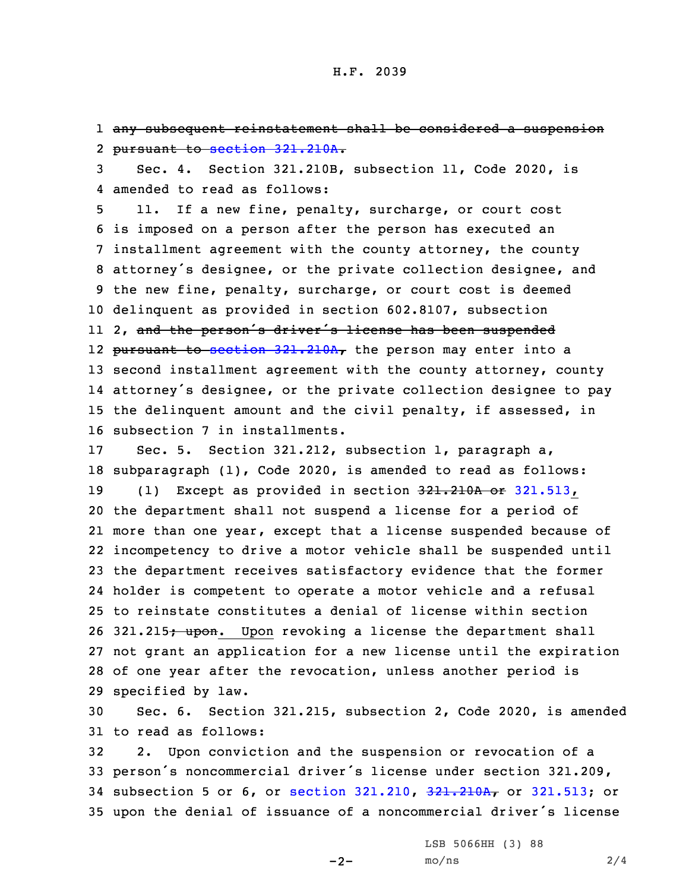1 any subsequent reinstatement shall be considered <sup>a</sup> suspension 2 pursuant to section [321.210A](https://www.legis.iowa.gov/docs/code/2020/321.210A.pdf).

3 Sec. 4. Section 321.210B, subsection 11, Code 2020, is 4 amended to read as follows:

 11. If <sup>a</sup> new fine, penalty, surcharge, or court cost is imposed on <sup>a</sup> person after the person has executed an installment agreement with the county attorney, the county attorney's designee, or the private collection designee, and the new fine, penalty, surcharge, or court cost is deemed delinquent as provided in section 602.8107, subsection 2, and the person's driver's license has been suspended 12 <del>pursuant to section [321.210A](https://www.legis.iowa.gov/docs/code/2020/321.210A.pdf),</del> the person may enter into a second installment agreement with the county attorney, county attorney's designee, or the private collection designee to pay the delinquent amount and the civil penalty, if assessed, in subsection 7 in installments.

 Sec. 5. Section 321.212, subsection 1, paragraph a, subparagraph (1), Code 2020, is amended to read as follows: 19 (1) Except as provided in section 321.210A or [321.513](https://www.legis.iowa.gov/docs/code/2020/321.513.pdf), the department shall not suspend <sup>a</sup> license for <sup>a</sup> period of more than one year, except that <sup>a</sup> license suspended because of incompetency to drive <sup>a</sup> motor vehicle shall be suspended until the department receives satisfactory evidence that the former holder is competent to operate <sup>a</sup> motor vehicle and <sup>a</sup> refusal to reinstate constitutes <sup>a</sup> denial of license within section 26 321.215; upon. Upon revoking a license the department shall not grant an application for <sup>a</sup> new license until the expiration of one year after the revocation, unless another period is specified by law.

30 Sec. 6. Section 321.215, subsection 2, Code 2020, is amended 31 to read as follows:

 2. Upon conviction and the suspension or revocation of <sup>a</sup> person's noncommercial driver's license under section 321.209, subsection 5 or 6, or section [321.210](https://www.legis.iowa.gov/docs/code/2020/321.210.pdf), [321.210A](https://www.legis.iowa.gov/docs/code/2020/321.210A.pdf), or [321.513](https://www.legis.iowa.gov/docs/code/2020/321.513.pdf); or upon the denial of issuance of <sup>a</sup> noncommercial driver's license

 $-2-$ 

LSB 5066HH (3) 88  $mo/ns$  2/4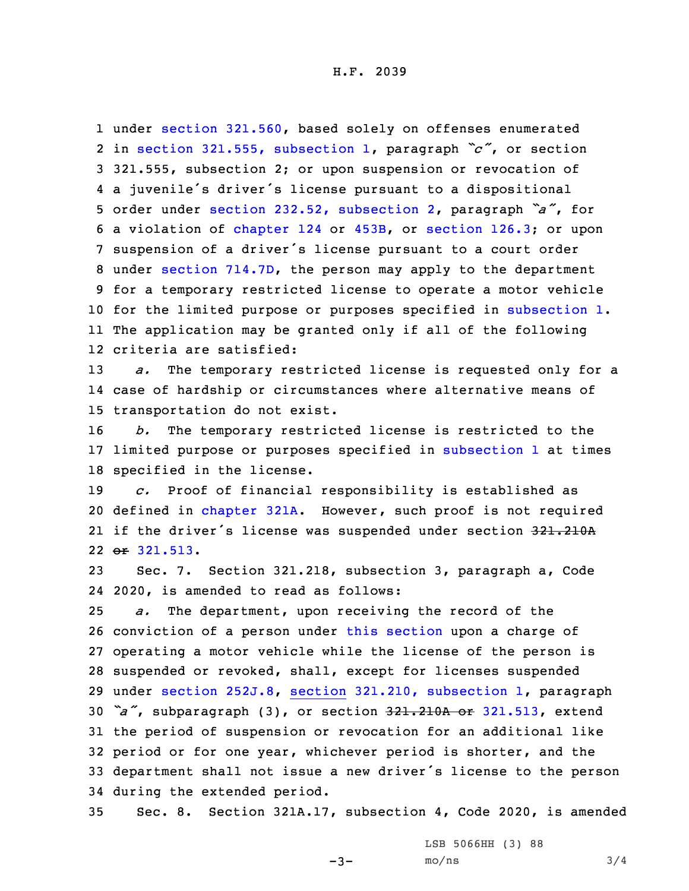under section [321.560](https://www.legis.iowa.gov/docs/code/2020/321.560.pdf), based solely on offenses enumerated in section 321.555, [subsection](https://www.legis.iowa.gov/docs/code/2020/321.555.pdf) 1, paragraph *"c"*, or section 321.555, subsection 2; or upon suspension or revocation of <sup>a</sup> juvenile's driver's license pursuant to <sup>a</sup> dispositional order under section 232.52, [subsection](https://www.legis.iowa.gov/docs/code/2020/232.52.pdf) 2, paragraph *"a"*, for <sup>a</sup> violation of [chapter](https://www.legis.iowa.gov/docs/code/2020/124.pdf) 124 or [453B](https://www.legis.iowa.gov/docs/code/2020/453B.pdf), or [section](https://www.legis.iowa.gov/docs/code/2020/126.3.pdf) 126.3; or upon suspension of <sup>a</sup> driver's license pursuant to <sup>a</sup> court order under section [714.7D](https://www.legis.iowa.gov/docs/code/2020/714.7D.pdf), the person may apply to the department for <sup>a</sup> temporary restricted license to operate <sup>a</sup> motor vehicle for the limited purpose or purposes specified in [subsection](https://www.legis.iowa.gov/docs/code/2020/321.215.pdf) 1. The application may be granted only if all of the following criteria are satisfied:

13 *a.* The temporary restricted license is requested only for <sup>a</sup> 14 case of hardship or circumstances where alternative means of 15 transportation do not exist.

16 *b.* The temporary restricted license is restricted to the 17 limited purpose or purposes specified in [subsection](https://www.legis.iowa.gov/docs/code/2020/321.215.pdf) 1 at times 18 specified in the license.

 *c.* Proof of financial responsibility is established as defined in [chapter](https://www.legis.iowa.gov/docs/code/2020/321A.pdf) 321A. However, such proof is not required 21 if the driver's license was suspended under section 321.210A or [321.513](https://www.legis.iowa.gov/docs/code/2020/321.513.pdf).

23 Sec. 7. Section 321.218, subsection 3, paragraph a, Code 24 2020, is amended to read as follows:

 *a.* The department, upon receiving the record of the conviction of <sup>a</sup> person under this [section](https://www.legis.iowa.gov/docs/code/2020/321.218.pdf) upon <sup>a</sup> charge of operating <sup>a</sup> motor vehicle while the license of the person is suspended or revoked, shall, except for licenses suspended under section [252J.8](https://www.legis.iowa.gov/docs/code/2020/252J.8.pdf), section 321.210, [subsection](https://www.legis.iowa.gov/docs/code/2020/321.210.pdf) 1, paragraph *"a"*, subparagraph (3), or section 321.210A or [321.513](https://www.legis.iowa.gov/docs/code/2020/321.513.pdf), extend the period of suspension or revocation for an additional like period or for one year, whichever period is shorter, and the department shall not issue <sup>a</sup> new driver's license to the person during the extended period.

35 Sec. 8. Section 321A.17, subsection 4, Code 2020, is amended

 $-3-$ 

LSB 5066HH (3) 88  $mo/ns$  3/4